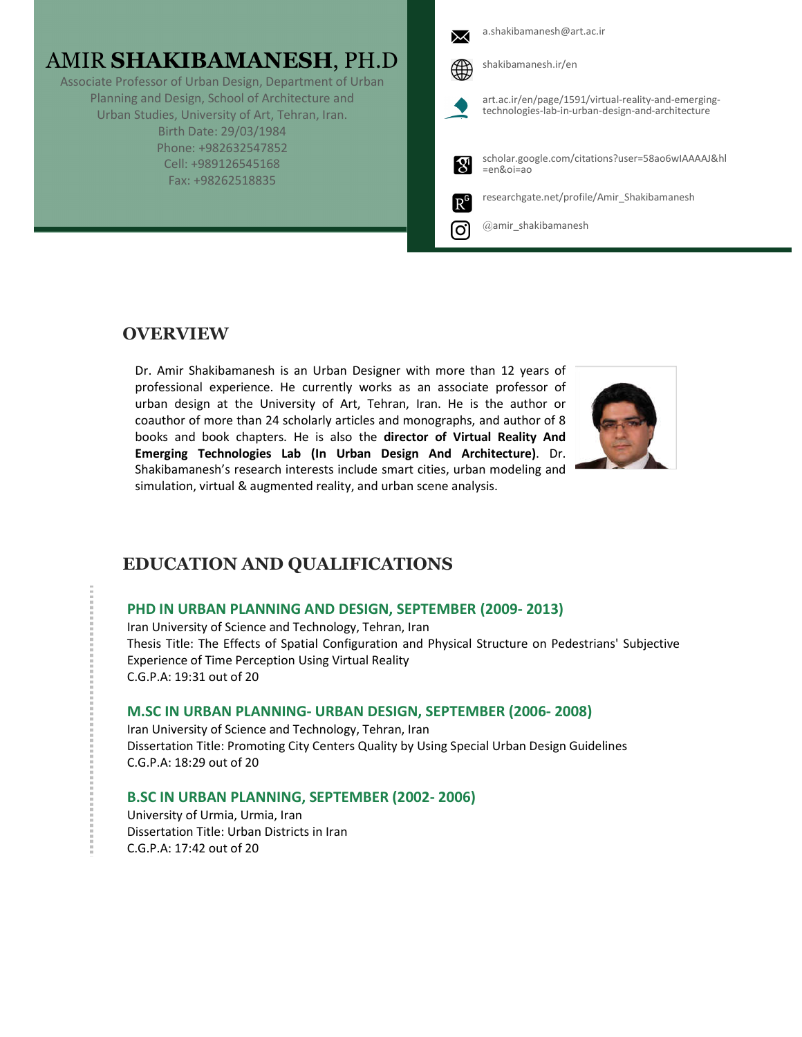# AMIR **SHAKIBAMANESH**, PH.D

Associate Professor of Urban Design, Department of Urban Planning and Design, School of Architecture and Urban Studies, University of Art, Tehran, Iran. Birth Date: 29/03/1984 Phone: +982632547852 Cell: +989126545168 Fax: +98262518835

|               | a.shakibamanesh@art.ac.ir                                                                                 |
|---------------|-----------------------------------------------------------------------------------------------------------|
|               | shakibamanesh.ir/en                                                                                       |
|               | art.ac.ir/en/page/1591/virtual-reality-and-emerging-<br>technologies-lab-in-urban-design-and-architecture |
| $\mathcal{R}$ | scholar.google.com/citations?user=58ao6wIAAAAJ&hl<br>$=$ en&oi $=$ ao                                     |
| $R^6$         | researchgate.net/profile/Amir Shakibamanesh                                                               |
|               | @amir shakibamanesh                                                                                       |

## **OVERVIEW**

Dr. Amir Shakibamanesh is an Urban Designer with more than 12 years of professional experience. He currently works as an associate professor of urban design at the University of Art, Tehran, Iran. He is the author or coauthor of more than 24 scholarly articles and monographs, and author of 8 books and book chapters. He is also the **director of Virtual Reality And Emerging Technologies Lab (In Urban Design And Architecture)**. Dr. Shakibamanesh's research interests include smart cities, urban modeling and simulation, virtual & augmented reality, and urban scene analysis.



## **EDUCATION AND QUALIFICATIONS**

## **PHD IN URBAN PLANNING AND DESIGN, SEPTEMBER (2009- 2013)**

Iran University of Science and Technology, Tehran, Iran Thesis Title: The Effects of Spatial Configuration and Physical Structure on Pedestrians' Subjective Experience of Time Perception Using Virtual Reality C.G.P.A: 19:31 out of 20

## **M.SC IN URBAN PLANNING- URBAN DESIGN, SEPTEMBER (2006- 2008)**

Iran University of Science and Technology, Tehran, Iran Dissertation Title: Promoting City Centers Quality by Using Special Urban Design Guidelines C.G.P.A: 18:29 out of 20

## **B.SC IN URBAN PLANNING, SEPTEMBER (2002- 2006)**

University of Urmia, Urmia, Iran Dissertation Title: Urban Districts in Iran C.G.P.A: 17:42 out of 20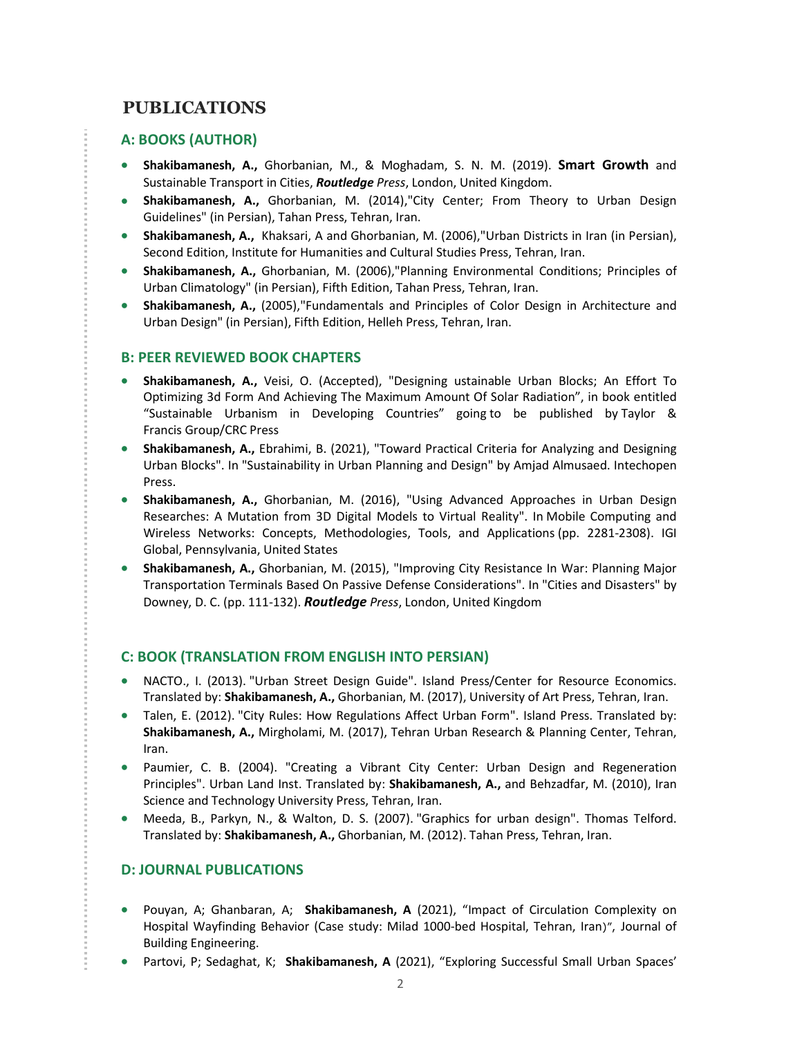## **PUBLICATIONS**

## **A: BOOKS (AUTHOR)**

- **Shakibamanesh, A.,** Ghorbanian, M., & Moghadam, S. N. M. (2019). **Smart Growth** and Sustainable Transport in Cities, *Routledge Press*, London, United Kingdom.
- **Shakibamanesh, A.,** Ghorbanian, M. (2014),"City Center; From Theory to Urban Design Guidelines" (in Persian), Tahan Press, Tehran, Iran.
- **Shakibamanesh, A.,** Khaksari, A and Ghorbanian, M. (2006),"Urban Districts in Iran (in Persian), Second Edition, Institute for Humanities and Cultural Studies Press, Tehran, Iran.
- **Shakibamanesh, A.,** Ghorbanian, M. (2006),"Planning Environmental Conditions; Principles of Urban Climatology" (in Persian), Fifth Edition, Tahan Press, Tehran, Iran.
- **Shakibamanesh, A.,** (2005),"Fundamentals and Principles of Color Design in Architecture and Urban Design" (in Persian), Fifth Edition, Helleh Press, Tehran, Iran.

### **B: PEER REVIEWED BOOK CHAPTERS**

- **Shakibamanesh, A.,** Veisi, O. (Accepted), "Designing ustainable Urban Blocks; An Effort To Optimizing 3d Form And Achieving The Maximum Amount Of Solar Radiation", in book entitled "Sustainable Urbanism in Developing Countries" going to be published by Taylor & Francis Group/CRC Press
- **Shakibamanesh, A.,** Ebrahimi, B. (2021), "Toward Practical Criteria for Analyzing and Designing Urban Blocks". In "Sustainability in Urban Planning and Design" by Amjad Almusaed. Intechopen Press.
- **Shakibamanesh, A.,** Ghorbanian, M. (2016), "Using Advanced Approaches in Urban Design Researches: A Mutation from 3D Digital Models to Virtual Reality". In Mobile Computing and Wireless Networks: Concepts, Methodologies, Tools, and Applications (pp. 2281-2308). IGI Global, Pennsylvania, United States
- **Shakibamanesh, A.,** Ghorbanian, M. (2015), "Improving City Resistance In War: Planning Major Transportation Terminals Based On Passive Defense Considerations". In "Cities and Disasters" by Downey, D. C. (pp. 111-132). *Routledge Press*, London, United Kingdom

## **C: BOOK (TRANSLATION FROM ENGLISH INTO PERSIAN)**

- NACTO., I. (2013). "Urban Street Design Guide". Island Press/Center for Resource Economics. Translated by: **Shakibamanesh, A.,** Ghorbanian, M. (2017), University of Art Press, Tehran, Iran.
- Talen, E. (2012). "City Rules: How Regulations Affect Urban Form". Island Press. Translated by: **Shakibamanesh, A.,** Mirgholami, M. (2017), Tehran Urban Research & Planning Center, Tehran, Iran.
- Paumier, C. B. (2004). "Creating a Vibrant City Center: Urban Design and Regeneration Principles". Urban Land Inst. Translated by: **Shakibamanesh, A.,** and Behzadfar, M. (2010), Iran Science and Technology University Press, Tehran, Iran.
- Meeda, B., Parkyn, N., & Walton, D. S. (2007). "Graphics for urban design". Thomas Telford. Translated by: **Shakibamanesh, A.,** Ghorbanian, M. (2012). Tahan Press, Tehran, Iran.

## **D: JOURNAL PUBLICATIONS**

- Pouyan, A; Ghanbaran, A; **Shakibamanesh, A** (2021), "Impact of Circulation Complexity on Hospital Wayfinding Behavior (Case study: Milad 1000-bed Hospital, Tehran, Iran)", Journal of Building Engineering.
- **Partovi, P; Sedaghat, K; Shakibamanesh, A** (2021), "Exploring Successful Small Urban Spaces'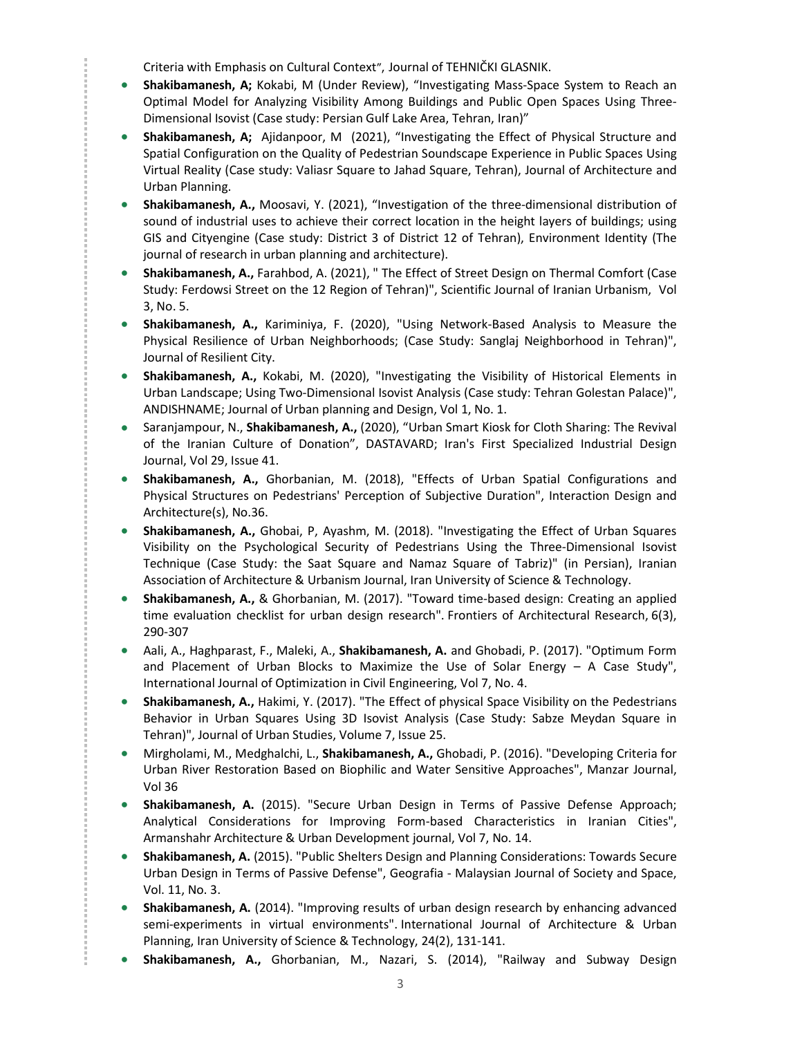Criteria with Emphasis on Cultural Context", Journal of TEHNIČKI GLASNIK.

- **Shakibamanesh, A;** Kokabi, M (Under Review), "Investigating Mass-Space System to Reach an Optimal Model for Analyzing Visibility Among Buildings and Public Open Spaces Using Three-Dimensional Isovist (Case study: Persian Gulf Lake Area, Tehran, Iran)"
- **Shakibamanesh, A;** Ajidanpoor, M (2021), "Investigating the Effect of Physical Structure and Spatial Configuration on the Quality of Pedestrian Soundscape Experience in Public Spaces Using Virtual Reality (Case study: Valiasr Square to Jahad Square, Tehran), Journal of Architecture and Urban Planning.
- **Shakibamanesh, A.,** Moosavi, Y. (2021), "Investigation of the three-dimensional distribution of sound of industrial uses to achieve their correct location in the height layers of buildings; using GIS and Cityengine (Case study: District 3 of District 12 of Tehran), Environment Identity (The journal of research in urban planning and architecture).
- **Shakibamanesh, A.,** Farahbod, A. (2021), " The Effect of Street Design on Thermal Comfort (Case Study: Ferdowsi Street on the 12 Region of Tehran)", Scientific Journal of Iranian Urbanism, Vol 3, No. 5.
- **Shakibamanesh, A.,** Kariminiya, F. (2020), "Using Network-Based Analysis to Measure the Physical Resilience of Urban Neighborhoods; (Case Study: Sanglaj Neighborhood in Tehran)", Journal of Resilient City.
- **Shakibamanesh, A.,** Kokabi, M. (2020), "Investigating the Visibility of Historical Elements in Urban Landscape; Using Two-Dimensional Isovist Analysis (Case study: Tehran Golestan Palace)", ANDISHNAME; Journal of Urban planning and Design, Vol 1, No. 1.
- Saranjampour, N., **Shakibamanesh, A.,** (2020), "Urban Smart Kiosk for Cloth Sharing: The Revival of the Iranian Culture of Donation", DASTAVARD; Iran's First Specialized Industrial Design Journal, Vol 29, Issue 41.
- **Shakibamanesh, A.,** Ghorbanian, M. (2018), "Effects of Urban Spatial Configurations and Physical Structures on Pedestrians' Perception of Subjective Duration", Interaction Design and Architecture(s), No.36.

- **Shakibamanesh, A.,** Ghobai, P, Ayashm, M. (2018). "Investigating the Effect of Urban Squares Visibility on the Psychological Security of Pedestrians Using the Three-Dimensional Isovist Technique (Case Study: the Saat Square and Namaz Square of Tabriz)" (in Persian), Iranian Association of Architecture & Urbanism Journal, Iran University of Science & Technology.
- **Shakibamanesh, A.,** & Ghorbanian, M. (2017). "Toward time-based design: Creating an applied time evaluation checklist for urban design research". Frontiers of Architectural Research, 6(3), 290-307
- Aali, A., Haghparast, F., Maleki, A., **Shakibamanesh, A.** and Ghobadi, P. (2017). "Optimum Form and Placement of Urban Blocks to Maximize the Use of Solar Energy – A Case Study", International Journal of Optimization in Civil Engineering, Vol 7, No. 4.
- **Shakibamanesh, A.,** Hakimi, Y. (2017). "The Effect of physical Space Visibility on the Pedestrians Behavior in Urban Squares Using 3D Isovist Analysis (Case Study: Sabze Meydan Square in Tehran)", Journal of Urban Studies, Volume 7, Issue 25.
- Mirgholami, M., Medghalchi, L., **Shakibamanesh, A.,** Ghobadi, P. (2016). "Developing Criteria for Urban River Restoration Based on Biophilic and Water Sensitive Approaches", Manzar Journal, Vol 36
- **Shakibamanesh, A.** (2015). "Secure Urban Design in Terms of Passive Defense Approach; Analytical Considerations for Improving Form-based Characteristics in Iranian Cities", Armanshahr Architecture & Urban Development journal, Vol 7, No. 14.
- **Shakibamanesh, A.** (2015). "Public Shelters Design and Planning Considerations: Towards Secure Urban Design in Terms of Passive Defense", Geografia - Malaysian Journal of Society and Space, Vol. 11, No. 3.
- **Shakibamanesh, A.** (2014). "Improving results of urban design research by enhancing advanced semi-experiments in virtual environments". International Journal of Architecture & Urban Planning, Iran University of Science & Technology, 24(2), 131-141.
- **Shakibamanesh, A.,** Ghorbanian, M., Nazari, S. (2014), "Railway and Subway Design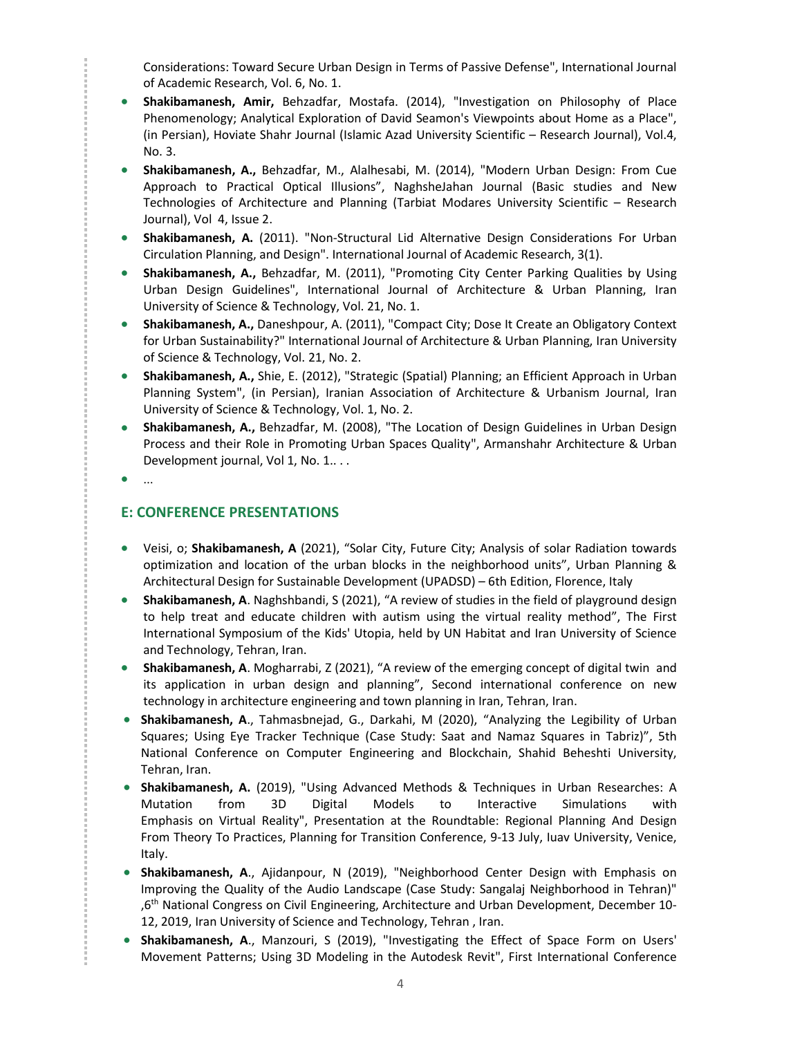Considerations: Toward Secure Urban Design in Terms of Passive Defense", International Journal of Academic Research, Vol. 6, No. 1.

- **Shakibamanesh, Amir,** Behzadfar, Mostafa. (2014), "Investigation on Philosophy of Place Phenomenology; Analytical Exploration of David Seamon's Viewpoints about Home as a Place", (in Persian), Hoviate Shahr Journal (Islamic Azad University Scientific – Research Journal), Vol.4, No. 3.
- **Shakibamanesh, A.,** Behzadfar, M., Alalhesabi, M. (2014), "Modern Urban Design: From Cue Approach to Practical Optical Illusions", NaghsheJahan Journal (Basic studies and New Technologies of Architecture and Planning (Tarbiat Modares University Scientific – Research Journal), Vol 4, Issue 2.
- **Shakibamanesh, A.** (2011). "Non-Structural Lid Alternative Design Considerations For Urban Circulation Planning, and Design". International Journal of Academic Research, 3(1).
- **Shakibamanesh, A.,** Behzadfar, M. (2011), "Promoting City Center Parking Qualities by Using Urban Design Guidelines", International Journal of Architecture & Urban Planning, Iran University of Science & Technology, Vol. 21, No. 1.
- **Shakibamanesh, A.,** Daneshpour, A. (2011), "Compact City; Dose It Create an Obligatory Context for Urban Sustainability?" International Journal of Architecture & Urban Planning, Iran University of Science & Technology, Vol. 21, No. 2.
- **Shakibamanesh, A.,** Shie, E. (2012), "Strategic (Spatial) Planning; an Efficient Approach in Urban Planning System", (in Persian), Iranian Association of Architecture & Urbanism Journal, Iran University of Science & Technology, Vol. 1, No. 2.
- **Shakibamanesh, A.,** Behzadfar, M. (2008), "The Location of Design Guidelines in Urban Design Process and their Role in Promoting Urban Spaces Quality", Armanshahr Architecture & Urban Development journal, Vol 1, No. 1...
- ...

## **E: CONFERENCE PRESENTATIONS**

- Veisi, o; **Shakibamanesh, A** (2021), "Solar City, Future City; Analysis of solar Radiation towards optimization and location of the urban blocks in the neighborhood units", Urban Planning & Architectural Design for Sustainable Development (UPADSD) – 6th Edition, Florence, Italy
- **Shakibamanesh, A**. Naghshbandi, S (2021), "A review of studies in the field of playground design to help treat and educate children with autism using the virtual reality method", The First International Symposium of the Kids' Utopia, held by UN Habitat and Iran University of Science and Technology, Tehran, Iran.
- **Shakibamanesh, A**. Mogharrabi, Z (2021), "A review of the emerging concept of digital twin and its application in urban design and planning", Second international conference on new technology in architecture engineering and town planning in Iran, Tehran, Iran.
- **Shakibamanesh, A**., Tahmasbnejad, G., Darkahi, M (2020), "Analyzing the Legibility of Urban Squares; Using Eye Tracker Technique (Case Study: Saat and Namaz Squares in Tabriz)", 5th National Conference on Computer Engineering and Blockchain, Shahid Beheshti University, Tehran, Iran.
- **Shakibamanesh, A.** (2019), "Using Advanced Methods & Techniques in Urban Researches: A Mutation from 3D Digital Models to Interactive Simulations with Emphasis on Virtual Reality", Presentation at the Roundtable: Regional Planning And Design From Theory To Practices, Planning for Transition Conference, 9-13 July, Iuav University, Venice, Italy.
- **Shakibamanesh, A**., Ajidanpour, N (2019), "Neighborhood Center Design with Emphasis on Improving the Quality of the Audio Landscape (Case Study: Sangalaj Neighborhood in Tehran)" ,6th National Congress on Civil Engineering, Architecture and Urban Development, December 10- 12, 2019, Iran University of Science and Technology, Tehran , Iran.
- **Shakibamanesh, A**., Manzouri, S (2019), "Investigating the Effect of Space Form on Users' Movement Patterns; Using 3D Modeling in the Autodesk Revit", First International Conference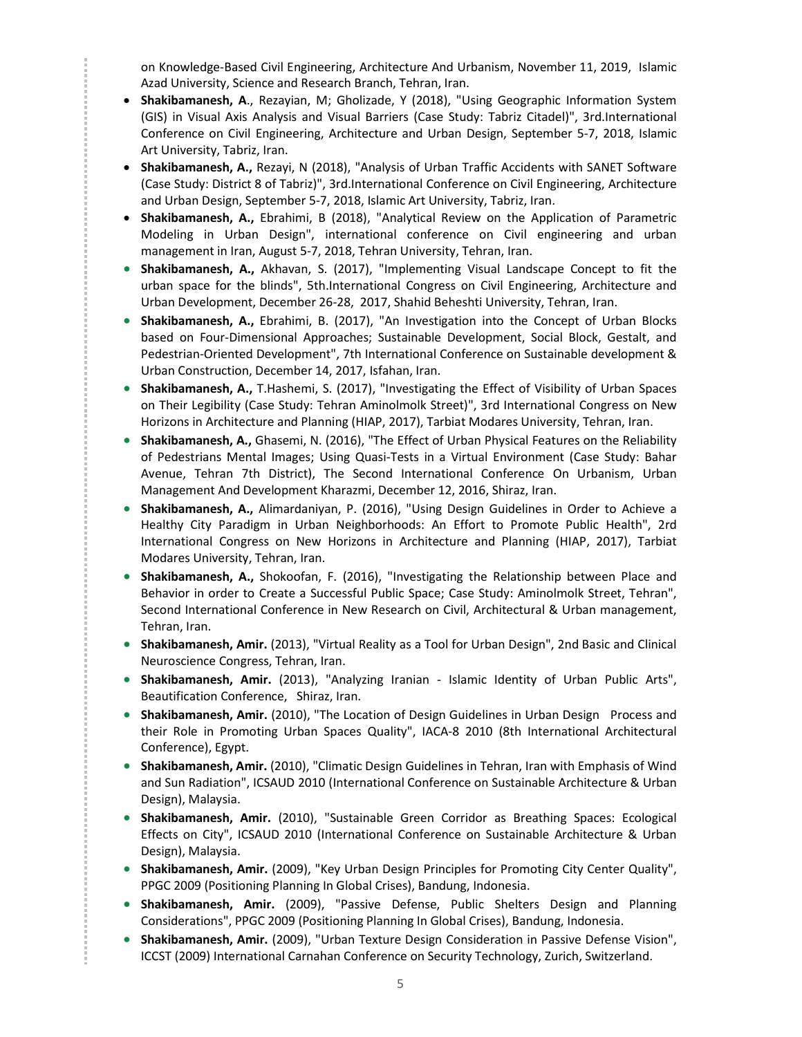on Knowledge-Based Civil Engineering, Architecture And Urbanism, November 11, 2019, Islamic Azad University, Science and Research Branch, Tehran, Iran.

- **Shakibamanesh, A**., Rezayian, M; Gholizade, Y (2018), "Using Geographic Information System (GIS) in Visual Axis Analysis and Visual Barriers (Case Study: Tabriz Citadel)", 3rd.International Conference on Civil Engineering, Architecture and Urban Design, September 5-7, 2018, Islamic Art University, Tabriz, Iran.
- **Shakibamanesh, A.,** Rezayi, N (2018), "Analysis of Urban Traffic Accidents with SANET Software (Case Study: District 8 of Tabriz)", 3rd.International Conference on Civil Engineering, Architecture and Urban Design, September 5-7, 2018, Islamic Art University, Tabriz, Iran.
- **Shakibamanesh, A.,** Ebrahimi, B (2018), "Analytical Review on the Application of Parametric Modeling in Urban Design", international conference on Civil engineering and urban management in Iran, August 5-7, 2018, Tehran University, Tehran, Iran.
- **Shakibamanesh, A.,** Akhavan, S. (2017), "Implementing Visual Landscape Concept to fit the urban space for the blinds", 5th.International Congress on Civil Engineering, Architecture and Urban Development, December 26-28, 2017, Shahid Beheshti University, Tehran, Iran.
- **Shakibamanesh, A.,** Ebrahimi, B. (2017), "An Investigation into the Concept of Urban Blocks based on Four-Dimensional Approaches; Sustainable Development, Social Block, Gestalt, and Pedestrian-Oriented Development", 7th International Conference on Sustainable development & Urban Construction, December 14, 2017, Isfahan, Iran.
- **Shakibamanesh, A.,** T.Hashemi, S. (2017), "Investigating the Effect of Visibility of Urban Spaces on Their Legibility (Case Study: Tehran Aminolmolk Street)", 3rd International Congress on New Horizons in Architecture and Planning (HIAP, 2017), Tarbiat Modares University, Tehran, Iran.
- **Shakibamanesh, A.,** Ghasemi, N. (2016), "The Effect of Urban Physical Features on the Reliability of Pedestrians Mental Images; Using Quasi-Tests in a Virtual Environment (Case Study: Bahar Avenue, Tehran 7th District), The Second International Conference On Urbanism, Urban Management And Development Kharazmi, December 12, 2016, Shiraz, Iran.
- **Shakibamanesh, A.,** Alimardaniyan, P. (2016), "Using Design Guidelines in Order to Achieve a Healthy City Paradigm in Urban Neighborhoods: An Effort to Promote Public Health", 2rd International Congress on New Horizons in Architecture and Planning (HIAP, 2017), Tarbiat Modares University, Tehran, Iran.

- **Shakibamanesh, A.,** Shokoofan, F. (2016), "Investigating the Relationship between Place and Behavior in order to Create a Successful Public Space; Case Study: Aminolmolk Street, Tehran", Second International Conference in New Research on Civil, Architectural & Urban management, Tehran, Iran.
- **Shakibamanesh, Amir.** (2013), "Virtual Reality as a Tool for Urban Design", 2nd Basic and Clinical Neuroscience Congress, Tehran, Iran.
- **Shakibamanesh, Amir.** (2013), "Analyzing Iranian Islamic Identity of Urban Public Arts", Beautification Conference, Shiraz, Iran.
- **Shakibamanesh, Amir.** (2010), "The Location of Design Guidelines in Urban Design Process and their Role in Promoting Urban Spaces Quality", IACA-8 2010 (8th International Architectural Conference), Egypt.
- **Shakibamanesh, Amir.** (2010), "Climatic Design Guidelines in Tehran, Iran with Emphasis of Wind and Sun Radiation", ICSAUD 2010 (International Conference on Sustainable Architecture & Urban Design), Malaysia.
- **Shakibamanesh, Amir.** (2010), "Sustainable Green Corridor as Breathing Spaces: Ecological Effects on City", ICSAUD 2010 (International Conference on Sustainable Architecture & Urban Design), Malaysia.
- **Shakibamanesh, Amir.** (2009), "Key Urban Design Principles for Promoting City Center Quality", PPGC 2009 (Positioning Planning In Global Crises), Bandung, Indonesia.
- **Shakibamanesh, Amir.** (2009), "Passive Defense, Public Shelters Design and Planning Considerations", PPGC 2009 (Positioning Planning In Global Crises), Bandung, Indonesia.
- **Shakibamanesh, Amir.** (2009), "Urban Texture Design Consideration in Passive Defense Vision", ICCST (2009) International Carnahan Conference on Security Technology, Zurich, Switzerland.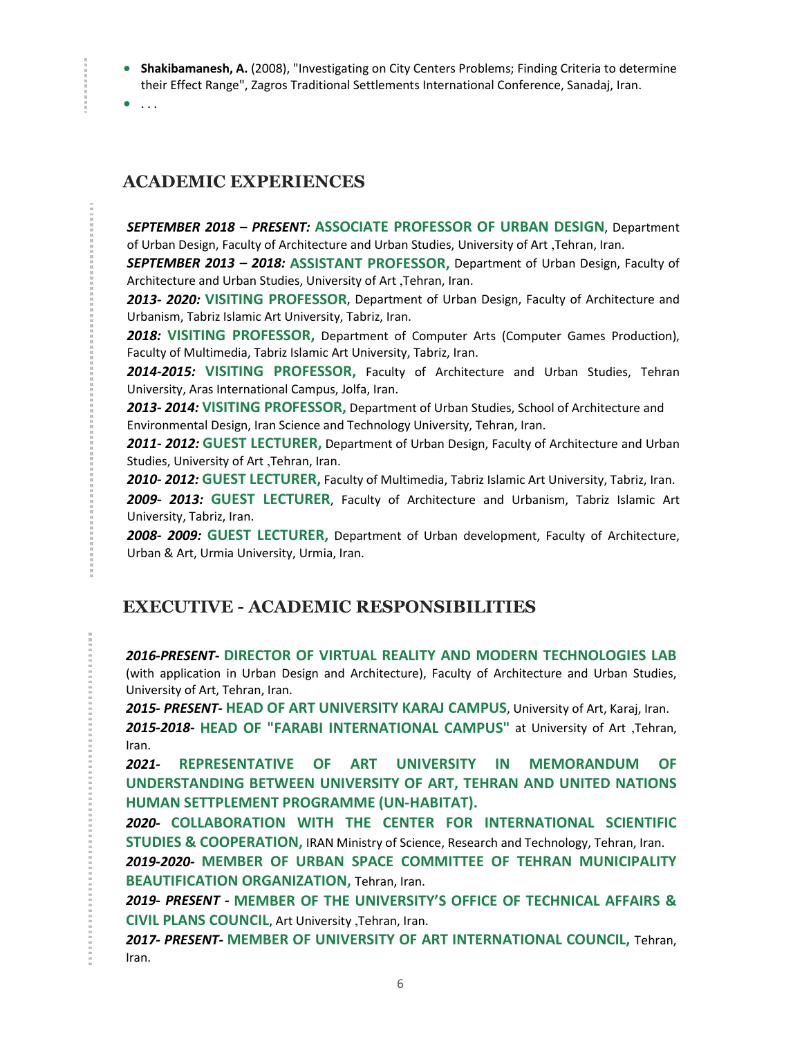- **Shakibamanesh, A.** (2008), "Investigating on City Centers Problems; Finding Criteria to determine their Effect Range", Zagros Traditional Settlements International Conference, Sanadaj, Iran.
- $\bullet$  ...

*<u>ALCOHOL:*</u>

*<u>Property</u>* 

## **ACADEMIC EXPERIENCES**

*SEPTEMBER 2018 – PRESENT:* **ASSOCIATE PROFESSOR OF URBAN DESIGN**, Department of Urban Design, Faculty of Architecture and Urban Studies, University of Art ,Tehran, Iran.

*SEPTEMBER 2013 – 2018:* **ASSISTANT PROFESSOR,** Department of Urban Design, Faculty of Architecture and Urban Studies, University of Art ,Tehran, Iran.

*2013- 2020:* **VISITING PROFESSOR**, Department of Urban Design, Faculty of Architecture and Urbanism, Tabriz Islamic Art University, Tabriz, Iran.

*2018:* **VISITING PROFESSOR,** Department of Computer Arts (Computer Games Production), Faculty of Multimedia, Tabriz Islamic Art University, Tabriz, Iran.

*2014-2015:* **VISITING PROFESSOR,** Faculty of Architecture and Urban Studies, Tehran University, Aras International Campus, Jolfa, Iran.

*2013- 2014:* **VISITING PROFESSOR,** Department of Urban Studies, School of Architecture and Environmental Design, Iran Science and Technology University, Tehran, Iran.

*2011- 2012:* **GUEST LECTURER,** Department of Urban Design, Faculty of Architecture and Urban Studies, University of Art ,Tehran, Iran.

*2010- 2012:* **GUEST LECTURER,** Faculty of Multimedia, Tabriz Islamic Art University, Tabriz, Iran.

*2009- 2013:* **GUEST LECTURER**, Faculty of Architecture and Urbanism, Tabriz Islamic Art University, Tabriz, Iran.

*2008- 2009:* **GUEST LECTURER,** Department of Urban development, Faculty of Architecture, Urban & Art, Urmia University, Urmia, Iran.

## **EXECUTIVE - ACADEMIC RESPONSIBILITIES**

*2016-PRESENT-* **DIRECTOR OF VIRTUAL REALITY AND MODERN TECHNOLOGIES LAB** (with application in Urban Design and Architecture), Faculty of Architecture and Urban Studies, University of Art, Tehran, Iran.

*2015- PRESENT-* **HEAD OF ART UNIVERSITY KARAJ CAMPUS**, University of Art, Karaj, Iran. *2015-2018-* **HEAD OF "FARABI INTERNATIONAL CAMPUS"** at University of Art ,Tehran, Iran.

*2021-* **REPRESENTATIVE OF ART UNIVERSITY IN MEMORANDUM OF UNDERSTANDING BETWEEN UNIVERSITY OF ART, TEHRAN AND UNITED NATIONS HUMAN SETTPLEMENT PROGRAMME (UN-HABITAT).**

*2020-* **COLLABORATION WITH THE CENTER FOR INTERNATIONAL SCIENTIFIC STUDIES & COOPERATION,** IRAN Ministry of Science, Research and Technology, Tehran, Iran.

*2019-2020-* **MEMBER OF URBAN SPACE COMMITTEE OF TEHRAN MUNICIPALITY BEAUTIFICATION ORGANIZATION,** Tehran, Iran.

*2019- PRESENT -* **MEMBER OF THE UNIVERSITY'S OFFICE OF TECHNICAL AFFAIRS & CIVIL PLANS COUNCIL**, Art University ,Tehran, Iran.

*2017- PRESENT-* **MEMBER OF UNIVERSITY OF ART INTERNATIONAL COUNCIL,** Tehran, Iran.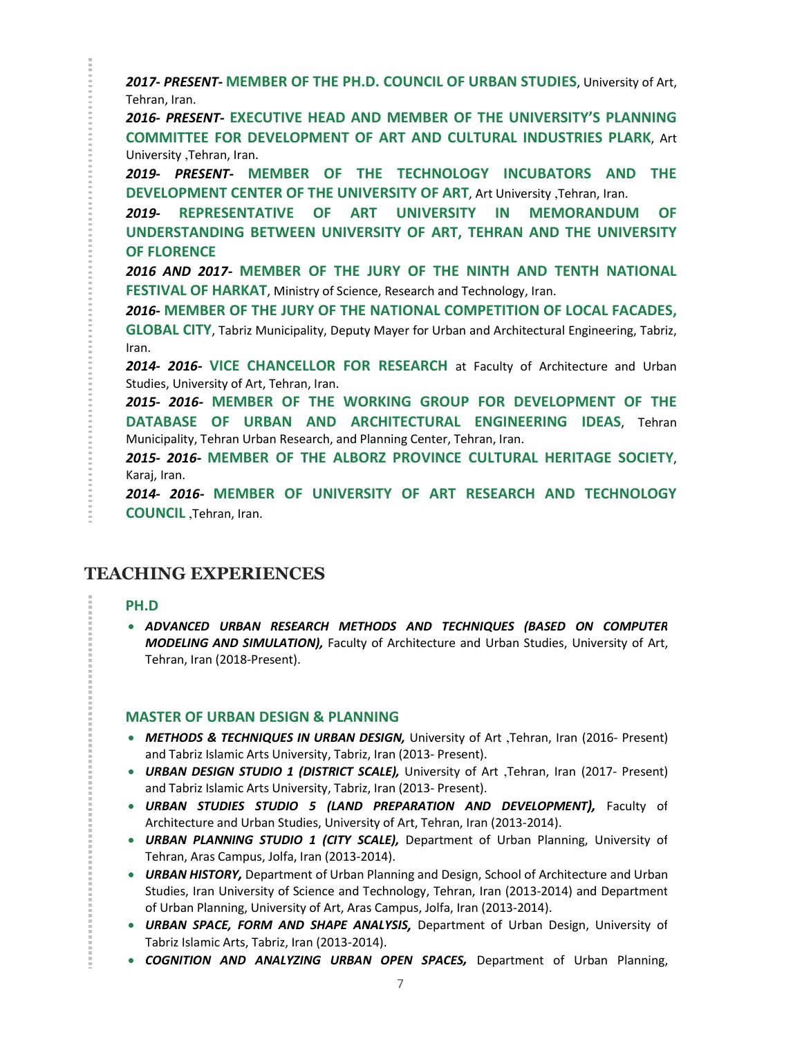*2017- PRESENT-* **MEMBER OF THE PH.D. COUNCIL OF URBAN STUDIES**, University of Art, Tehran, Iran.

*2016- PRESENT-* **EXECUTIVE HEAD AND MEMBER OF THE UNIVERSITY'S PLANNING COMMITTEE FOR DEVELOPMENT OF ART AND CULTURAL INDUSTRIES PLARK**, Art University ,Tehran, Iran.

*2019- PRESENT-* **MEMBER OF THE TECHNOLOGY INCUBATORS AND THE DEVELOPMENT CENTER OF THE UNIVERSITY OF ART**, Art University ,Tehran, Iran.

*2019-* **REPRESENTATIVE OF ART UNIVERSITY IN MEMORANDUM OF UNDERSTANDING BETWEEN UNIVERSITY OF ART, TEHRAN AND THE UNIVERSITY OF FLORENCE**

*2016 AND 2017-* **MEMBER OF THE JURY OF THE NINTH AND TENTH NATIONAL FESTIVAL OF HARKAT**, Ministry of Science, Research and Technology, Iran.

*2016-* **MEMBER OF THE JURY OF THE NATIONAL COMPETITION OF LOCAL FACADES, GLOBAL CITY**, Tabriz Municipality, Deputy Mayer for Urban and Architectural Engineering, Tabriz, Iran.

*2014- 2016-* **VICE CHANCELLOR FOR RESEARCH** at Faculty of Architecture and Urban Studies, University of Art, Tehran, Iran.

*2015- 2016-* **MEMBER OF THE WORKING GROUP FOR DEVELOPMENT OF THE DATABASE OF URBAN AND ARCHITECTURAL ENGINEERING IDEAS**, Tehran Municipality, Tehran Urban Research, and Planning Center, Tehran, Iran.

*2015- 2016-* **MEMBER OF THE ALBORZ PROVINCE CULTURAL HERITAGE SOCIETY**, Karaj, Iran.

*2014- 2016-* **MEMBER OF UNIVERSITY OF ART RESEARCH AND TECHNOLOGY COUNCIL** ,Tehran, Iran.

## **TEACHING EXPERIENCES**

## **PH.D**

**CONTRACTOR** 

 *ADVANCED URBAN RESEARCH METHODS AND TECHNIQUES (BASED ON COMPUTER MODELING AND SIMULATION),* Faculty of Architecture and Urban Studies, University of Art, Tehran, Iran (2018-Present).

## **MASTER OF URBAN DESIGN & PLANNING**

- *METHODS & TECHNIQUES IN URBAN DESIGN,* University of Art ,Tehran, Iran (2016- Present) and Tabriz Islamic Arts University, Tabriz, Iran (2013- Present).
- *URBAN DESIGN STUDIO 1 (DISTRICT SCALE),* University of Art ,Tehran, Iran (2017- Present) and Tabriz Islamic Arts University, Tabriz, Iran (2013- Present).
- *URBAN STUDIES STUDIO 5 (LAND PREPARATION AND DEVELOPMENT),* Faculty of Architecture and Urban Studies, University of Art, Tehran, Iran (2013-2014).
- *URBAN PLANNING STUDIO 1 (CITY SCALE),* Department of Urban Planning, University of Tehran, Aras Campus, Jolfa, Iran (2013-2014).
- *URBAN HISTORY,* Department of Urban Planning and Design, School of Architecture and Urban Studies, Iran University of Science and Technology, Tehran, Iran (2013-2014) and Department of Urban Planning, University of Art, Aras Campus, Jolfa, Iran (2013-2014).
- *URBAN SPACE, FORM AND SHAPE ANALYSIS,* Department of Urban Design, University of Tabriz Islamic Arts, Tabriz, Iran (2013-2014).
- *COGNITION AND ANALYZING URBAN OPEN SPACES,* Department of Urban Planning,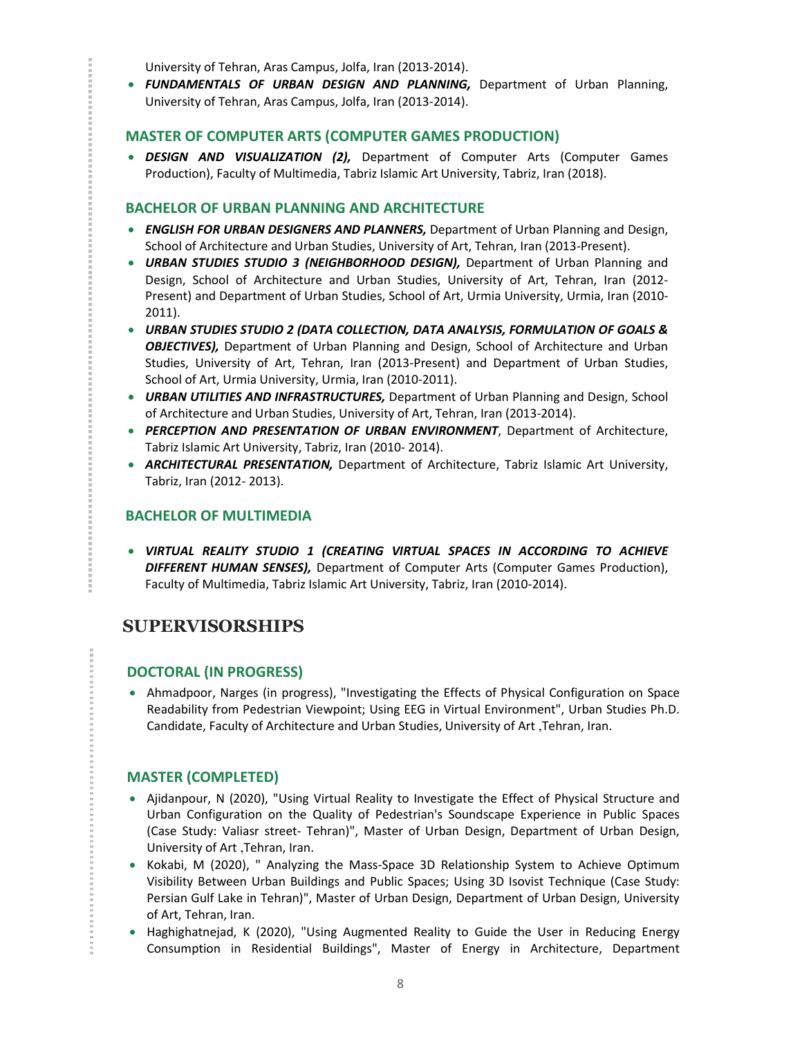University of Tehran, Aras Campus, Jolfa, Iran (2013-2014).

 *FUNDAMENTALS OF URBAN DESIGN AND PLANNING,* Department of Urban Planning, University of Tehran, Aras Campus, Jolfa, Iran (2013-2014).

### **MASTER OF COMPUTER ARTS (COMPUTER GAMES PRODUCTION)**

 *DESIGN AND VISUALIZATION (2),* Department of Computer Arts (Computer Games Production), Faculty of Multimedia, Tabriz Islamic Art University, Tabriz, Iran (2018).

## **BACHELOR OF URBAN PLANNING AND ARCHITECTURE**

- *ENGLISH FOR URBAN DESIGNERS AND PLANNERS,* Department of Urban Planning and Design, School of Architecture and Urban Studies, University of Art, Tehran, Iran (2013-Present).
- *URBAN STUDIES STUDIO 3 (NEIGHBORHOOD DESIGN),* Department of Urban Planning and Design, School of Architecture and Urban Studies, University of Art, Tehran, Iran (2012- Present) and Department of Urban Studies, School of Art, Urmia University, Urmia, Iran (2010- 2011).
- *URBAN STUDIES STUDIO 2 (DATA COLLECTION, DATA ANALYSIS, FORMULATION OF GOALS & OBJECTIVES),* Department of Urban Planning and Design, School of Architecture and Urban Studies, University of Art, Tehran, Iran (2013-Present) and Department of Urban Studies, School of Art, Urmia University, Urmia, Iran (2010-2011).
- *URBAN UTILITIES AND INFRASTRUCTURES,* Department of Urban Planning and Design, School of Architecture and Urban Studies, University of Art, Tehran, Iran (2013-2014).
- *PERCEPTION AND PRESENTATION OF URBAN ENVIRONMENT*, Department of Architecture, Tabriz Islamic Art University, Tabriz, Iran (2010- 2014).
- *ARCHITECTURAL PRESENTATION,* Department of Architecture, Tabriz Islamic Art University, Tabriz, Iran (2012- 2013).

### **BACHELOR OF MULTIMEDIA**

 *VIRTUAL REALITY STUDIO 1 (CREATING VIRTUAL SPACES IN ACCORDING TO ACHIEVE DIFFERENT HUMAN SENSES),* Department of Computer Arts (Computer Games Production), Faculty of Multimedia, Tabriz Islamic Art University, Tabriz, Iran (2010-2014).

## **SUPERVISORSHIPS**

## **DOCTORAL (IN PROGRESS)**

 Ahmadpoor, Narges (in progress), "Investigating the Effects of Physical Configuration on Space Readability from Pedestrian Viewpoint; Using EEG in Virtual Environment", Urban Studies Ph.D. Candidate, Faculty of Architecture and Urban Studies, University of Art ,Tehran, Iran.

## **MASTER (COMPLETED)**

- Ajidanpour, N (2020), "Using Virtual Reality to Investigate the Effect of Physical Structure and Urban Configuration on the Quality of Pedestrian's Soundscape Experience in Public Spaces (Case Study: Valiasr street- Tehran)", Master of Urban Design, Department of Urban Design, University of Art ,Tehran, Iran.
- Kokabi, M (2020), " Analyzing the Mass-Space 3D Relationship System to Achieve Optimum Visibility Between Urban Buildings and Public Spaces; Using 3D Isovist Technique (Case Study: Persian Gulf Lake in Tehran)", Master of Urban Design, Department of Urban Design, University of Art, Tehran, Iran.
- Haghighatnejad, K (2020), "Using Augmented Reality to Guide the User in Reducing Energy Consumption in Residential Buildings", Master of Energy in Architecture, Department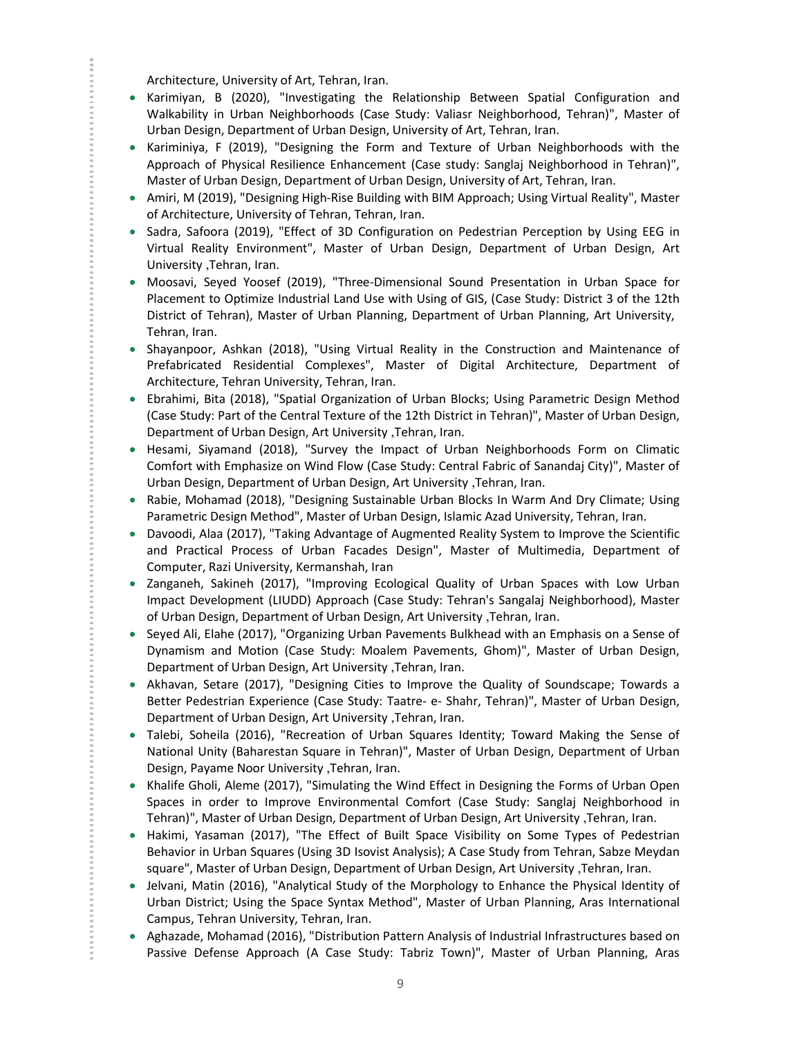Architecture, University of Art, Tehran, Iran.

- Karimiyan, B (2020), "Investigating the Relationship Between Spatial Configuration and Walkability in Urban Neighborhoods (Case Study: Valiasr Neighborhood, Tehran)", Master of Urban Design, Department of Urban Design, University of Art, Tehran, Iran.
- Kariminiya, F (2019), "Designing the Form and Texture of Urban Neighborhoods with the Approach of Physical Resilience Enhancement (Case study: Sanglaj Neighborhood in Tehran)", Master of Urban Design, Department of Urban Design, University of Art, Tehran, Iran.
- Amiri, M (2019), "Designing High-Rise Building with BIM Approach; Using Virtual Reality", Master of Architecture, University of Tehran, Tehran, Iran.
- Sadra, Safoora (2019), "Effect of 3D Configuration on Pedestrian Perception by Using EEG in Virtual Reality Environment", Master of Urban Design, Department of Urban Design, Art University ,Tehran, Iran.
- Moosavi, Seyed Yoosef (2019), "Three-Dimensional Sound Presentation in Urban Space for Placement to Optimize Industrial Land Use with Using of GIS, (Case Study: District 3 of the 12th District of Tehran), Master of Urban Planning, Department of Urban Planning, Art University, Tehran, Iran.
- Shayanpoor, Ashkan (2018), "Using Virtual Reality in the Construction and Maintenance of Prefabricated Residential Complexes", Master of Digital Architecture, Department of Architecture, Tehran University, Tehran, Iran.
- Ebrahimi, Bita (2018), "Spatial Organization of Urban Blocks; Using Parametric Design Method (Case Study: Part of the Central Texture of the 12th District in Tehran)", Master of Urban Design, Department of Urban Design, Art University ,Tehran, Iran.
- Hesami, Siyamand (2018), "Survey the Impact of Urban Neighborhoods Form on Climatic Comfort with Emphasize on Wind Flow (Case Study: Central Fabric of Sanandaj City)", Master of Urban Design, Department of Urban Design, Art University ,Tehran, Iran.
- Rabie, Mohamad (2018), "Designing Sustainable Urban Blocks In Warm And Dry Climate; Using Parametric Design Method", Master of Urban Design, Islamic Azad University, Tehran, Iran.
- Davoodi, Alaa (2017), "Taking Advantage of Augmented Reality System to Improve the Scientific and Practical Process of Urban Facades Design", Master of Multimedia, Department of Computer, Razi University, Kermanshah, Iran
- Zanganeh, Sakineh (2017), "Improving Ecological Quality of Urban Spaces with Low Urban Impact Development (LIUDD) Approach (Case Study: Tehran's Sangalaj Neighborhood), Master of Urban Design, Department of Urban Design, Art University ,Tehran, Iran.
- Seyed Ali, Elahe (2017), "Organizing Urban Pavements Bulkhead with an Emphasis on a Sense of Dynamism and Motion (Case Study: Moalem Pavements, Ghom)", Master of Urban Design, Department of Urban Design, Art University ,Tehran, Iran.
- Akhavan, Setare (2017), "Designing Cities to Improve the Quality of Soundscape; Towards a Better Pedestrian Experience (Case Study: Taatre- e- Shahr, Tehran)", Master of Urban Design, Department of Urban Design, Art University ,Tehran, Iran.
- Talebi, Soheila (2016), "Recreation of Urban Squares Identity; Toward Making the Sense of National Unity (Baharestan Square in Tehran)", Master of Urban Design, Department of Urban Design, Payame Noor University ,Tehran, Iran.
- Khalife Gholi, Aleme (2017), "Simulating the Wind Effect in Designing the Forms of Urban Open Spaces in order to Improve Environmental Comfort (Case Study: Sanglaj Neighborhood in Tehran)", Master of Urban Design, Department of Urban Design, Art University ,Tehran, Iran.
- Hakimi, Yasaman (2017), "The Effect of Built Space Visibility on Some Types of Pedestrian Behavior in Urban Squares (Using 3D Isovist Analysis); A Case Study from Tehran, Sabze Meydan square", Master of Urban Design, Department of Urban Design, Art University ,Tehran, Iran.
- Jelvani, Matin (2016), "Analytical Study of the Morphology to Enhance the Physical Identity of Urban District; Using the Space Syntax Method", Master of Urban Planning, Aras International Campus, Tehran University, Tehran, Iran.
- Aghazade, Mohamad (2016), "Distribution Pattern Analysis of Industrial Infrastructures based on Passive Defense Approach (A Case Study: Tabriz Town)", Master of Urban Planning, Aras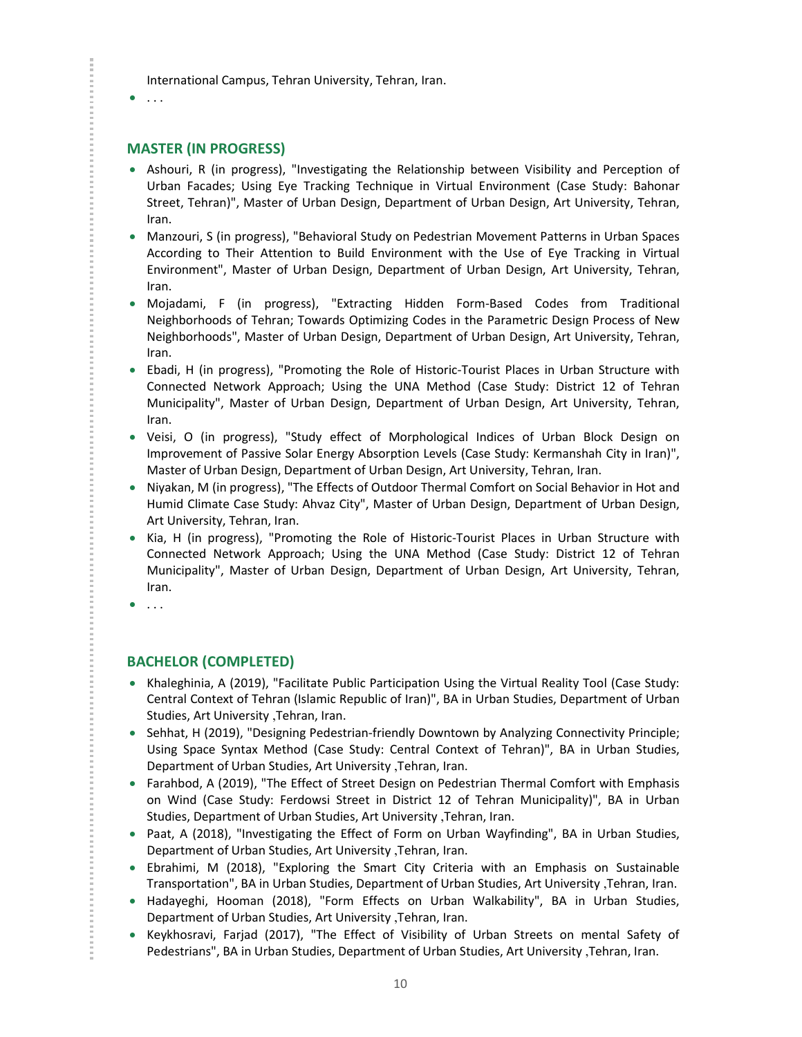International Campus, Tehran University, Tehran, Iran.

#### $\bullet$  . . .

### **MASTER (IN PROGRESS)**

- Ashouri, R (in progress), "Investigating the Relationship between Visibility and Perception of Urban Facades; Using Eye Tracking Technique in Virtual Environment (Case Study: Bahonar Street, Tehran)", Master of Urban Design, Department of Urban Design, Art University, Tehran, Iran.
- Manzouri, S (in progress), "Behavioral Study on Pedestrian Movement Patterns in Urban Spaces According to Their Attention to Build Environment with the Use of Eye Tracking in Virtual Environment", Master of Urban Design, Department of Urban Design, Art University, Tehran, Iran.
- Mojadami, F (in progress), "Extracting Hidden Form-Based Codes from Traditional Neighborhoods of Tehran; Towards Optimizing Codes in the Parametric Design Process of New Neighborhoods", Master of Urban Design, Department of Urban Design, Art University, Tehran, Iran.
- Ebadi, H (in progress), "Promoting the Role of Historic-Tourist Places in Urban Structure with Connected Network Approach; Using the UNA Method (Case Study: District 12 of Tehran Municipality", Master of Urban Design, Department of Urban Design, Art University, Tehran, Iran.
- Veisi, O (in progress), "Study effect of Morphological Indices of Urban Block Design on Improvement of Passive Solar Energy Absorption Levels (Case Study: Kermanshah City in Iran)", Master of Urban Design, Department of Urban Design, Art University, Tehran, Iran.
- Niyakan, M (in progress), "The Effects of Outdoor Thermal Comfort on Social Behavior in Hot and Humid Climate Case Study: Ahvaz City", Master of Urban Design, Department of Urban Design, Art University, Tehran, Iran.
- Kia, H (in progress), "Promoting the Role of Historic-Tourist Places in Urban Structure with Connected Network Approach; Using the UNA Method (Case Study: District 12 of Tehran Municipality", Master of Urban Design, Department of Urban Design, Art University, Tehran, Iran.
- $\bullet$  . . .

## **BACHELOR (COMPLETED)**

- Khaleghinia, A (2019), "Facilitate Public Participation Using the Virtual Reality Tool (Case Study: Central Context of Tehran (Islamic Republic of Iran)", BA in Urban Studies, Department of Urban Studies, Art University ,Tehran, Iran.
- Sehhat, H (2019), "Designing Pedestrian-friendly Downtown by Analyzing Connectivity Principle; Using Space Syntax Method (Case Study: Central Context of Tehran)", BA in Urban Studies, Department of Urban Studies, Art University ,Tehran, Iran.
- Farahbod, A (2019), "The Effect of Street Design on Pedestrian Thermal Comfort with Emphasis on Wind (Case Study: Ferdowsi Street in District 12 of Tehran Municipality)", BA in Urban Studies, Department of Urban Studies, Art University ,Tehran, Iran.
- Paat, A (2018), "Investigating the Effect of Form on Urban Wayfinding", BA in Urban Studies, Department of Urban Studies, Art University ,Tehran, Iran.
- Ebrahimi, M (2018), "Exploring the Smart City Criteria with an Emphasis on Sustainable Transportation", BA in Urban Studies, Department of Urban Studies, Art University ,Tehran, Iran.
- Hadayeghi, Hooman (2018), "Form Effects on Urban Walkability", BA in Urban Studies, Department of Urban Studies, Art University ,Tehran, Iran.
- Keykhosravi, Farjad (2017), "The Effect of Visibility of Urban Streets on mental Safety of Pedestrians", BA in Urban Studies, Department of Urban Studies, Art University ,Tehran, Iran.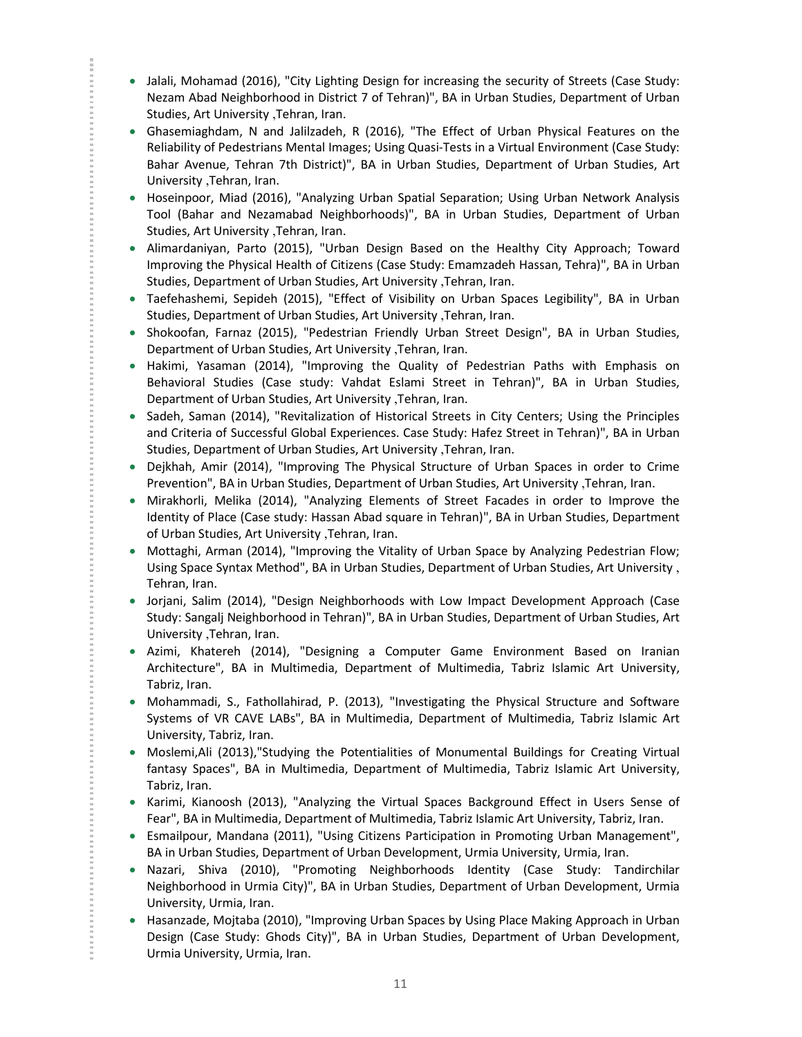- Jalali, Mohamad (2016), "City Lighting Design for increasing the security of Streets (Case Study: Nezam Abad Neighborhood in District 7 of Tehran)", BA in Urban Studies, Department of Urban Studies, Art University ,Tehran, Iran.
- Ghasemiaghdam, N and Jalilzadeh, R (2016), "The Effect of Urban Physical Features on the Reliability of Pedestrians Mental Images; Using Quasi-Tests in a Virtual Environment (Case Study: Bahar Avenue, Tehran 7th District)", BA in Urban Studies, Department of Urban Studies, Art University ,Tehran, Iran.
- Hoseinpoor, Miad (2016), "Analyzing Urban Spatial Separation; Using Urban Network Analysis Tool (Bahar and Nezamabad Neighborhoods)", BA in Urban Studies, Department of Urban Studies, Art University ,Tehran, Iran.
- Alimardaniyan, Parto (2015), "Urban Design Based on the Healthy City Approach; Toward Improving the Physical Health of Citizens (Case Study: Emamzadeh Hassan, Tehra)", BA in Urban Studies, Department of Urban Studies, Art University ,Tehran, Iran.
- Taefehashemi, Sepideh (2015), "Effect of Visibility on Urban Spaces Legibility", BA in Urban Studies, Department of Urban Studies, Art University ,Tehran, Iran.
- Shokoofan, Farnaz (2015), "Pedestrian Friendly Urban Street Design", BA in Urban Studies, Department of Urban Studies, Art University ,Tehran, Iran.
- Hakimi, Yasaman (2014), "Improving the Quality of Pedestrian Paths with Emphasis on Behavioral Studies (Case study: Vahdat Eslami Street in Tehran)", BA in Urban Studies, Department of Urban Studies, Art University ,Tehran, Iran.
- Sadeh, Saman (2014), "Revitalization of Historical Streets in City Centers; Using the Principles and Criteria of Successful Global Experiences. Case Study: Hafez Street in Tehran)", BA in Urban Studies, Department of Urban Studies, Art University ,Tehran, Iran.
- Dejkhah, Amir (2014), "Improving The Physical Structure of Urban Spaces in order to Crime Prevention", BA in Urban Studies, Department of Urban Studies, Art University ,Tehran, Iran.
- Mirakhorli, Melika (2014), "Analyzing Elements of Street Facades in order to Improve the Identity of Place (Case study: Hassan Abad square in Tehran)", BA in Urban Studies, Department of Urban Studies, Art University ,Tehran, Iran.

- Mottaghi, Arman (2014), "Improving the Vitality of Urban Space by Analyzing Pedestrian Flow; Using Space Syntax Method", BA in Urban Studies, Department of Urban Studies, Art University , Tehran, Iran.
- Jorjani, Salim (2014), "Design Neighborhoods with Low Impact Development Approach (Case Study: Sangalj Neighborhood in Tehran)", BA in Urban Studies, Department of Urban Studies, Art University ,Tehran, Iran.
- Azimi, Khatereh (2014), "Designing a Computer Game Environment Based on Iranian Architecture", BA in Multimedia, Department of Multimedia, Tabriz Islamic Art University, Tabriz, Iran.
- Mohammadi, S., Fathollahirad, P. (2013), "Investigating the Physical Structure and Software Systems of VR CAVE LABs", BA in Multimedia, Department of Multimedia, Tabriz Islamic Art University, Tabriz, Iran.
- Moslemi,Ali (2013),"Studying the Potentialities of Monumental Buildings for Creating Virtual fantasy Spaces", BA in Multimedia, Department of Multimedia, Tabriz Islamic Art University, Tabriz, Iran.
- Karimi, Kianoosh (2013), "Analyzing the Virtual Spaces Background Effect in Users Sense of Fear", BA in Multimedia, Department of Multimedia, Tabriz Islamic Art University, Tabriz, Iran.
- Esmailpour, Mandana (2011), "Using Citizens Participation in Promoting Urban Management", BA in Urban Studies, Department of Urban Development, Urmia University, Urmia, Iran.
- Nazari, Shiva (2010), "Promoting Neighborhoods Identity (Case Study: Tandirchilar Neighborhood in Urmia City)", BA in Urban Studies, Department of Urban Development, Urmia University, Urmia, Iran.
- Hasanzade, Mojtaba (2010), "Improving Urban Spaces by Using Place Making Approach in Urban Design (Case Study: Ghods City)", BA in Urban Studies, Department of Urban Development, Urmia University, Urmia, Iran.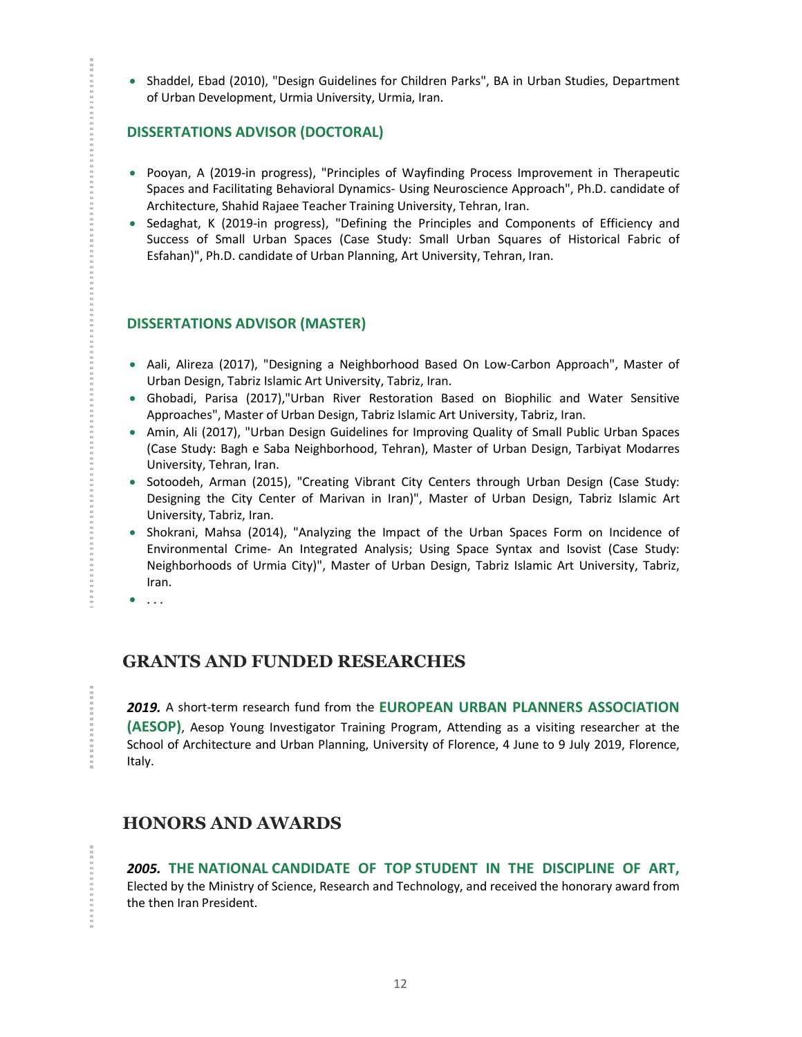• Shaddel, Ebad (2010), "Design Guidelines for Children Parks", BA in Urban Studies, Department of Urban Development, Urmia University, Urmia, Iran.

## **DISSERTATIONS ADVISOR (DOCTORAL)**

- Pooyan, A (2019-in progress), "Principles of Wayfinding Process Improvement in Therapeutic Spaces and Facilitating Behavioral Dynamics- Using Neuroscience Approach", Ph.D. candidate of Architecture, Shahid Rajaee Teacher Training University, Tehran, Iran.
- Sedaghat, K (2019-in progress), "Defining the Principles and Components of Efficiency and Success of Small Urban Spaces (Case Study: Small Urban Squares of Historical Fabric of Esfahan)", Ph.D. candidate of Urban Planning, Art University, Tehran, Iran.

### **DISSERTATIONS ADVISOR (MASTER)**

- Aali, Alireza (2017), "Designing a Neighborhood Based On Low-Carbon Approach", Master of Urban Design, Tabriz Islamic Art University, Tabriz, Iran.
- Ghobadi, Parisa (2017),"Urban River Restoration Based on Biophilic and Water Sensitive Approaches", Master of Urban Design, Tabriz Islamic Art University, Tabriz, Iran.
- Amin, Ali (2017), "Urban Design Guidelines for Improving Quality of Small Public Urban Spaces (Case Study: Bagh e Saba Neighborhood, Tehran), Master of Urban Design, Tarbiyat Modarres University, Tehran, Iran.
- Sotoodeh, Arman (2015), "Creating Vibrant City Centers through Urban Design (Case Study: Designing the City Center of Marivan in Iran)", Master of Urban Design, Tabriz Islamic Art University, Tabriz, Iran.
- Shokrani, Mahsa (2014), "Analyzing the Impact of the Urban Spaces Form on Incidence of Environmental Crime- An Integrated Analysis; Using Space Syntax and Isovist (Case Study: Neighborhoods of Urmia City)", Master of Urban Design, Tabriz Islamic Art University, Tabriz, Iran.
- $\bullet$  . . .

**CONTRACTOR** 

## **GRANTS AND FUNDED RESEARCHES**

*2019.* A short-term research fund from the **EUROPEAN URBAN PLANNERS ASSOCIATION (AESOP)**, Aesop Young Investigator Training Program, Attending as a visiting researcher at the School of Architecture and Urban Planning, University of Florence, 4 June to 9 July 2019, Florence, Italy.

## **HONORS AND AWARDS**

*2005.* **THE NATIONAL CANDIDATE OF TOP STUDENT IN THE DISCIPLINE OF ART,** Elected by the Ministry of Science, Research and Technology, and received the honorary award from the then Iran President.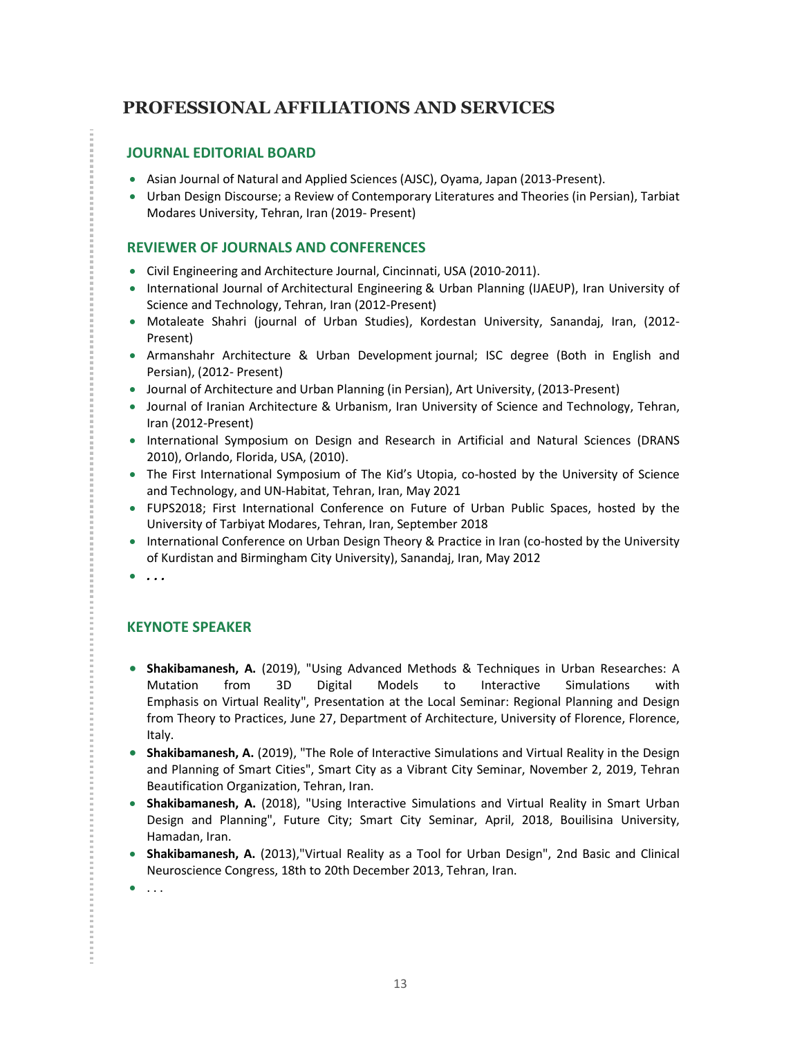## **PROFESSIONAL AFFILIATIONS AND SERVICES**

## **JOURNAL EDITORIAL BOARD**

- Asian Journal of Natural and Applied Sciences (AJSC), Oyama, Japan (2013-Present).
- Urban Design Discourse; a Review of Contemporary Literatures and Theories (in Persian), Tarbiat Modares University, Tehran, Iran (2019- Present)

## **REVIEWER OF JOURNALS AND CONFERENCES**

- Civil Engineering and Architecture Journal, Cincinnati, USA (2010-2011).
- International Journal of Architectural Engineering & Urban Planning (IJAEUP), Iran University of Science and Technology, Tehran, Iran (2012-Present)
- Motaleate Shahri (journal of Urban Studies), Kordestan University, Sanandaj, Iran, (2012- Present)
- Armanshahr Architecture & Urban Development journal; ISC degree (Both in English and Persian), (2012- Present)
- Journal of Architecture and Urban Planning (in Persian), Art University, (2013-Present)
- Journal of Iranian Architecture & Urbanism, Iran University of Science and Technology, Tehran, Iran (2012-Present)
- International Symposium on Design and Research in Artificial and Natural Sciences (DRANS 2010), Orlando, Florida, USA, (2010).
- The First International Symposium of The Kid's Utopia, co-hosted by the University of Science and Technology, and UN-Habitat, Tehran, Iran, May 2021
- FUPS2018; First International Conference on Future of Urban Public Spaces, hosted by the University of Tarbiyat Modares, Tehran, Iran, September 2018
- International Conference on Urban Design Theory & Practice in Iran (co-hosted by the University of Kurdistan and Birmingham City University), Sanandaj, Iran, May 2012
- *. . .*

## **KEYNOTE SPEAKER**

- **Shakibamanesh, A.** (2019), "Using Advanced Methods & Techniques in Urban Researches: A Mutation from 3D Digital Models to Interactive Simulations with Emphasis on Virtual Reality", Presentation at the Local Seminar: Regional Planning and Design from Theory to Practices, June 27, Department of Architecture, University of Florence, Florence, Italy.
- **Shakibamanesh, A.** (2019), "The Role of Interactive Simulations and Virtual Reality in the Design and Planning of Smart Cities", Smart City as a Vibrant City Seminar, November 2, 2019, Tehran Beautification Organization, Tehran, Iran.
- **Shakibamanesh, A.** (2018), "Using Interactive Simulations and Virtual Reality in Smart Urban Design and Planning", Future City; Smart City Seminar, April, 2018, Bouilisina University, Hamadan, Iran.
- **Shakibamanesh, A.** (2013),"Virtual Reality as a Tool for Urban Design", 2nd Basic and Clinical Neuroscience Congress, 18th to 20th December 2013, Tehran, Iran.
- $\bullet$  . . .

**在这里,我们的时候,我们的时候,我们的时候,我们的时候,我们的时候,我们的时候,我们的时候,我们的时候,我们的时候,我们的时候,我们的时候,我们就会**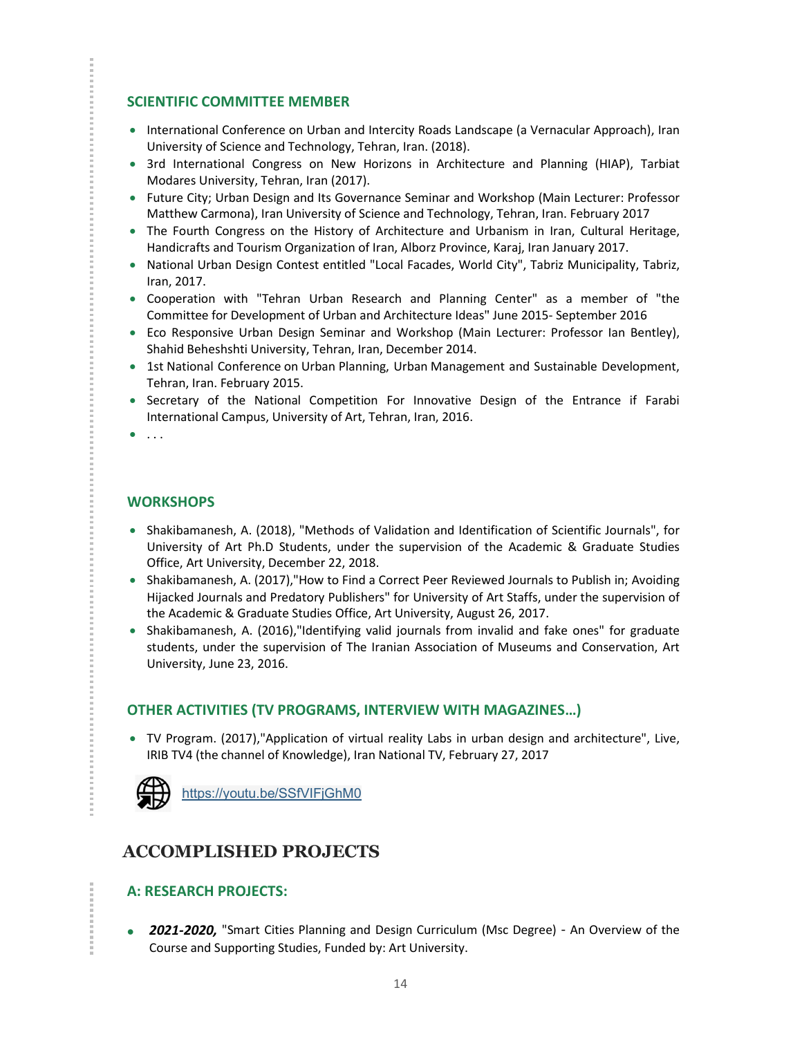## **SCIENTIFIC COMMITTEE MEMBER**

- International Conference on Urban and Intercity Roads Landscape (a Vernacular Approach), Iran University of Science and Technology, Tehran, Iran. (2018).
- 3rd International Congress on New Horizons in Architecture and Planning (HIAP), Tarbiat Modares University, Tehran, Iran (2017).
- Future City; Urban Design and Its Governance Seminar and Workshop (Main Lecturer: Professor Matthew Carmona), Iran University of Science and Technology, Tehran, Iran. February 2017
- The Fourth Congress on the History of Architecture and Urbanism in Iran, Cultural Heritage, Handicrafts and Tourism Organization of Iran, Alborz Province, Karaj, Iran January 2017.
- National Urban Design Contest entitled "Local Facades, World City", Tabriz Municipality, Tabriz, Iran, 2017.
- Cooperation with "Tehran Urban Research and Planning Center" as a member of "the Committee for Development of Urban and Architecture Ideas" June 2015- September 2016
- Eco Responsive Urban Design Seminar and Workshop (Main Lecturer: Professor Ian Bentley), Shahid Beheshshti University, Tehran, Iran, December 2014.
- 1st National Conference on Urban Planning, Urban Management and Sustainable Development, Tehran, Iran. February 2015.
- Secretary of the National Competition For Innovative Design of the Entrance if Farabi International Campus, University of Art, Tehran, Iran, 2016.
- $\bullet$  . . .

## **WORKSHOPS**

- Shakibamanesh, A. (2018), "Methods of Validation and Identification of Scientific Journals", for University of Art Ph.D Students, under the supervision of the Academic & Graduate Studies Office, Art University, December 22, 2018.
- Shakibamanesh, A. (2017),"How to Find a Correct Peer Reviewed Journals to Publish in; Avoiding Hijacked Journals and Predatory Publishers" for University of Art Staffs, under the supervision of the Academic & Graduate Studies Office, Art University, August 26, 2017.
- Shakibamanesh, A. (2016),"Identifying valid journals from invalid and fake ones" for graduate students, under the supervision of The Iranian Association of Museums and Conservation, Art University, June 23, 2016.

## **OTHER ACTIVITIES (TV PROGRAMS, INTERVIEW WITH MAGAZINES…)**

 TV Program. (2017),"Application of virtual reality Labs in urban design and architecture", Live, IRIB TV4 (the channel of Knowledge), Iran National TV, February 27, 2017



## **ACCOMPLISHED PROJECTS**

## **A: RESEARCH PROJECTS:**

 *2021-2020,* "Smart Cities Planning and Design Curriculum (Msc Degree) - An Overview of the Course and Supporting Studies, Funded by: Art University.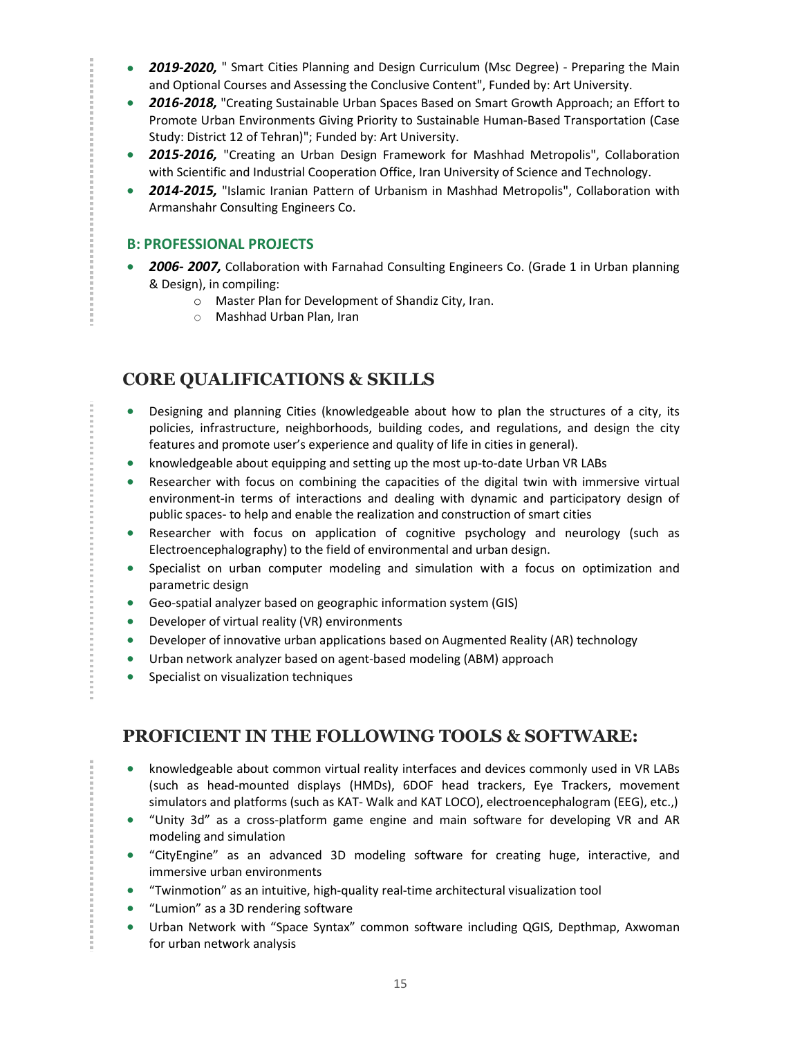- **2019-2020.** " Smart Cities Planning and Design Curriculum (Msc Degree) Preparing the Main and Optional Courses and Assessing the Conclusive Content", Funded by: Art University.
- *2016-2018,* "Creating Sustainable Urban Spaces Based on Smart Growth Approach; an Effort to Promote Urban Environments Giving Priority to Sustainable Human-Based Transportation (Case Study: District 12 of Tehran)"; Funded by: Art University.
- *2015-2016,* "Creating an Urban Design Framework for Mashhad Metropolis", Collaboration with Scientific and Industrial Cooperation Office, Iran University of Science and Technology.
- *2014-2015,* "Islamic Iranian Pattern of Urbanism in Mashhad Metropolis", Collaboration with Armanshahr Consulting Engineers Co.

## **B: PROFESSIONAL PROJECTS**

医皮肤性 医血管性 医血管性 医血管性 医血管性 医血管

- *2006- 2007,* Collaboration with Farnahad Consulting Engineers Co. (Grade 1 in Urban planning & Design), in compiling:
	- o Master Plan for Development of Shandiz City, Iran.
	- o Mashhad Urban Plan, Iran

## **CORE QUALIFICATIONS & SKILLS**

- Designing and planning Cities (knowledgeable about how to plan the structures of a city, its policies, infrastructure, neighborhoods, building codes, and regulations, and design the city features and promote user's experience and quality of life in cities in general).
- knowledgeable about equipping and setting up the most up-to-date Urban VR LABs
- Researcher with focus on combining the capacities of the digital twin with immersive virtual environment-in terms of interactions and dealing with dynamic and participatory design of public spaces- to help and enable the realization and construction of smart cities
- Researcher with focus on application of cognitive psychology and neurology (such as Electroencephalography) to the field of environmental and urban design.
- Specialist on urban computer modeling and simulation with a focus on optimization and parametric design
- Geo-spatial analyzer based on geographic information system (GIS)
- Developer of virtual reality (VR) environments
- Developer of innovative urban applications based on Augmented Reality (AR) technology
- Urban network analyzer based on agent-based modeling (ABM) approach
- **Specialist on visualization techniques**

## **PROFICIENT IN THE FOLLOWING TOOLS & SOFTWARE:**

- knowledgeable about common virtual reality interfaces and devices commonly used in VR LABs (such as head-mounted displays (HMDs), 6DOF head trackers, Eye Trackers, movement simulators and platforms (such as KAT- Walk and KAT LOCO), electroencephalogram (EEG), etc.,)
- "Unity 3d" as a cross-platform game engine and main software for developing VR and AR modeling and simulation
- "CityEngine" as an advanced 3D modeling software for creating huge, interactive, and immersive urban environments
- "Twinmotion" as an intuitive, high-quality real-time architectural visualization tool
- "Lumion" as a 3D rendering software
- Urban Network with "Space Syntax" common software including QGIS, Depthmap, Axwoman for urban network analysis